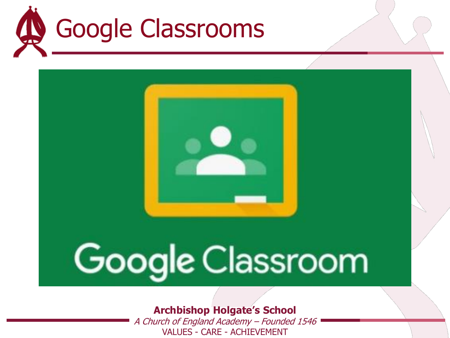



# Google Classroom

#### **Archbishop Holgate's School**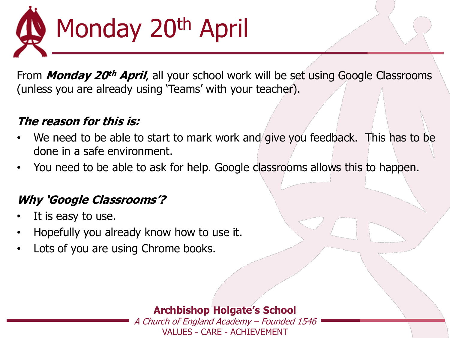

From **Monday 20th April**, all your school work will be set using Google Classrooms (unless you are already using 'Teams' with your teacher).

#### **The reason for this is:**

- We need to be able to start to mark work and give you feedback. This has to be done in a safe environment.
- You need to be able to ask for help. Google classrooms allows this to happen.

#### **Why 'Google Classrooms'?**

- It is easy to use.
- Hopefully you already know how to use it.
- Lots of you are using Chrome books.

#### **Archbishop Holgate's School**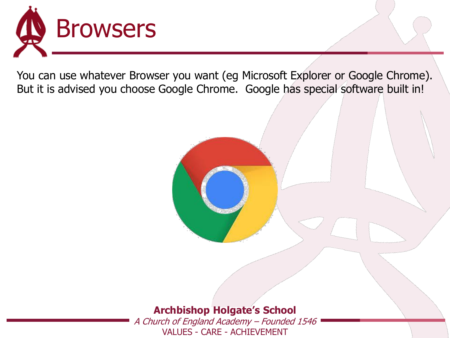

You can use whatever Browser you want (eg Microsoft Explorer or Google Chrome). But it is advised you choose Google Chrome. Google has special software built in!



#### **Archbishop Holgate's School**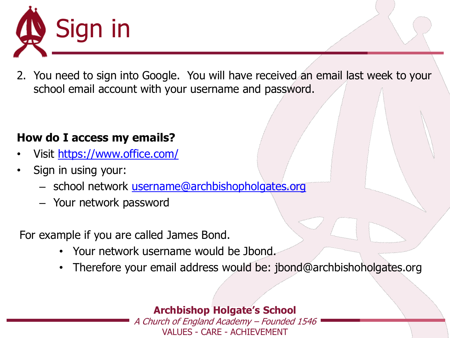

2. You need to sign into Google. You will have received an email last week to your school email account with your username and password.

#### **How do I access my emails?**

- Visit <https://www.office.com/>
- Sign in using your:
	- school network [username@archbishopholgates.org](mailto:username@archbishopholgates.org)
	- Your network password

For example if you are called James Bond.

- Your network username would be Jbond.
- Therefore your email address would be: jbond@archbishoholgates.org

#### **Archbishop Holgate's School**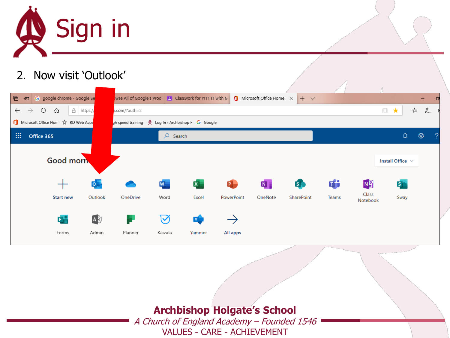

#### 2. Now visit 'Outlook'

| 目<br>G google chrome - Google Se<br>日                  |               |                                                    |                | wise All of Google's Prod <b>F</b> Classwork for Yr11 IT with M <b>C</b> Microsoft Office Home $\times$ |         | $+$ $\vee$     |       |                   |                       |                   |  |
|--------------------------------------------------------|---------------|----------------------------------------------------|----------------|---------------------------------------------------------------------------------------------------------|---------|----------------|-------|-------------------|-----------------------|-------------------|--|
| ↻<br>△ https://<br>क़<br>$\leftarrow$<br>$\rightarrow$ | e.com/?auth=2 |                                                    |                |                                                                                                         |         |                |       |                   | $\Box$<br>$\star$     | ☆<br>$\mathbb{Z}$ |  |
| Microsoft Office Hor <a> KD<br/> Web Acce</a>          |               | gh speed training A Log In < Archbishop F G Google |                |                                                                                                         |         |                |       |                   |                       |                   |  |
| 曲<br>Office 365                                        |               | Q<br>Search                                        |                |                                                                                                         |         |                |       |                   | $\hbox{\large\it Q}$  | छु                |  |
| <b>Good morn</b>                                       |               |                                                    |                |                                                                                                         |         |                |       |                   | Install Office $\vee$ |                   |  |
| $\circ \vdash$                                         |               | $\overline{\mathsf{w}}$                            | $\mathbf{x}$ . | 0                                                                                                       | N       | 5 <sub>o</sub> | di    | N <sub>3</sub>    | $S_{\parallel}$       |                   |  |
| <b>Start new</b><br>Outlook                            | OneDrive      | Word                                               | Excel          | PowerPoint                                                                                              | OneNote | SharePoint     | Teams | Class<br>Notebook | Sway                  |                   |  |
| $\mathbf{A}$<br>다                                      |               | $\bm{\triangledown}$                               | Y              |                                                                                                         |         |                |       |                   |                       |                   |  |
| Forms<br>Admin                                         | Planner       | Kaizala                                            | Yammer         | All apps                                                                                                |         |                |       |                   |                       |                   |  |

**Archbishop Holgate's School**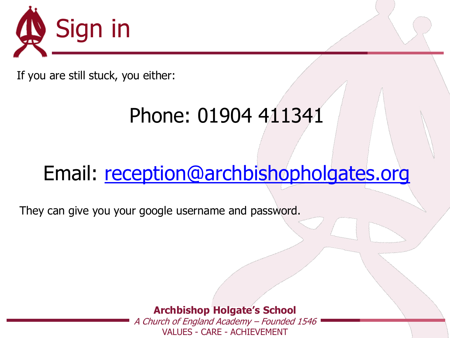

If you are still stuck, you either:

## Phone: 01904 411341

### Email: [reception@archbishopholgates.org](mailto:reception@archbishopholgates.org)

They can give you your google username and password.

**Archbishop Holgate's School**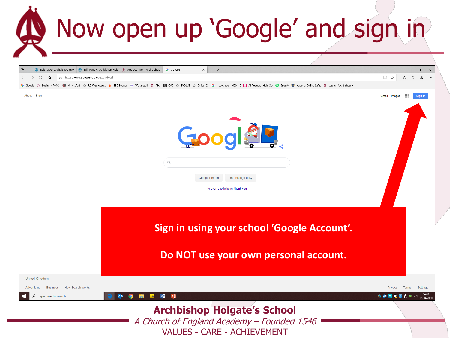## Now open up 'Google' and sign in

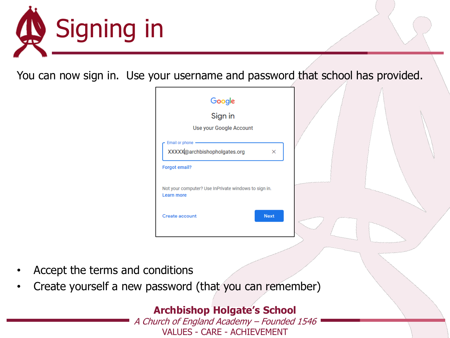

You can now sign in. Use your username and password that school has provided.

| Google                                                                 |             |  |
|------------------------------------------------------------------------|-------------|--|
| Sign in                                                                |             |  |
| Use your Google Account                                                |             |  |
| Email or phone<br>XXXXX@archbishopholgates.org<br><b>Forgot email?</b> | ×           |  |
| Not your computer? Use InPrivate windows to sign in.<br>Learn more     |             |  |
| <b>Create account</b>                                                  | <b>Next</b> |  |
|                                                                        |             |  |

- Accept the terms and conditions
- Create yourself a new password (that you can remember)

#### **Archbishop Holgate's School**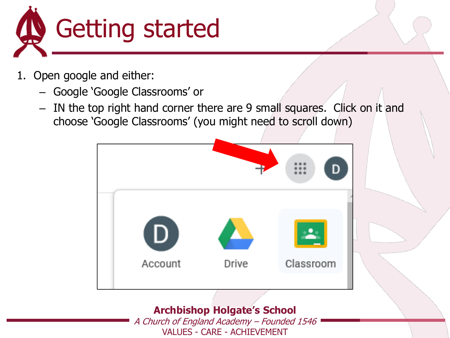

- 1. Open google and either:
	- Google 'Google Classrooms' or
	- IN the top right hand corner there are 9 small squares. Click on it and choose 'Google Classrooms' (you might need to scroll down)



#### **Archbishop Holgate's School**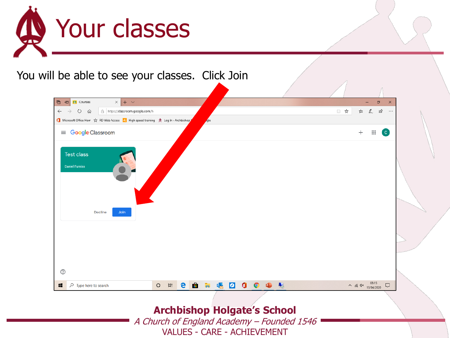

#### You will be able to see your classes. Click Join



#### **Archbishop Holgate's School**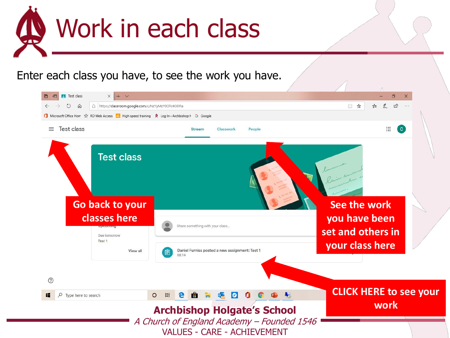

#### Enter each class you have, to see the work you have.

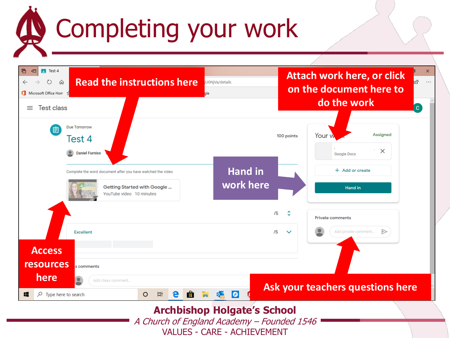## Completing your work

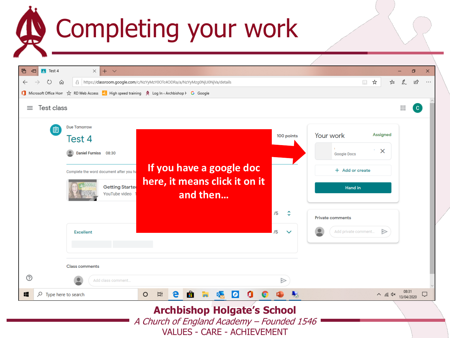## **Completing your work**

| ↻<br>⋒<br>Microsoft Office Horr $\chi$ RD Web Access 2 High speed training $\phi$ Log In « Archbishop F G Google<br>Test class<br>≡                                             | A   https://classroom.google.com/c/NzYyMzY0OTc4ODRa/a/NzYyMzg0NjU0NjVa/details |                                        | $\Box$                                                                                                                 | ☆<br>า∕ั≡                 | $\mathbb{Z}$<br>$\mathop{\mathop{\cdots}}\nolimits$ | ₿<br>$\mathbf{C}$ |
|---------------------------------------------------------------------------------------------------------------------------------------------------------------------------------|--------------------------------------------------------------------------------|----------------------------------------|------------------------------------------------------------------------------------------------------------------------|---------------------------|-----------------------------------------------------|-------------------|
| <b>Due Tomorrow</b><br>闾<br>Test 4<br>Daniel Furniss 08:30<br>Complete the word document after you ha<br><b>Getting Starter</b><br>YouTube video<br>'UTORIA<br><b>Excellent</b> | If you have a google doc<br>here, it means click it on it<br>and then          | 100 points<br>/5<br>/5<br>$\checkmark$ | Your work<br><b>Google Docs</b><br>+ Add or create<br><b>Hand</b> in<br><b>Private comments</b><br>Add private comment | Assigned<br>$\times$<br>▷ |                                                     |                   |
| <b>Class comments</b><br>$^{\circledR}$<br>Add class comment                                                                                                                    |                                                                                | ⊳                                      |                                                                                                                        |                           |                                                     |                   |
|                                                                                                                                                                                 | <b>目</b><br>$\circ$<br>e<br>0<br>Ë<br>QU                                       | A <sub>ct</sub>                        |                                                                                                                        | $\wedge$ (6. 4x 08:31     |                                                     |                   |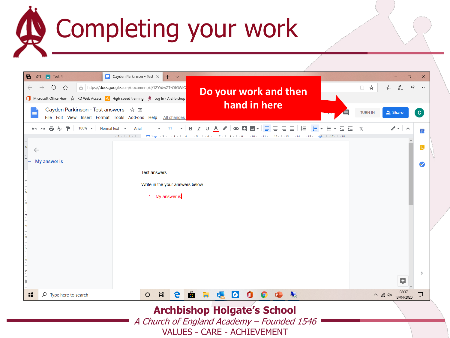# **B** Completing your work

| A https://docs.google.com/document/d/12YYdwZT-OfGWIQ<br>↻<br>⋒<br>$\begin{picture}(20,20) \put(0,0){\line(0,1){10}} \put(15,0){\line(0,1){10}} \put(15,0){\line(0,1){10}} \put(15,0){\line(0,1){10}} \put(15,0){\line(0,1){10}} \put(15,0){\line(0,1){10}} \put(15,0){\line(0,1){10}} \put(15,0){\line(0,1){10}} \put(15,0){\line(0,1){10}} \put(15,0){\line(0,1){10}} \put(15,0){\line(0,1){10}} \put(15,0){\line(0$<br>☆<br>$\beta$<br>$\rightarrow$<br>$\leftarrow$<br>$\cdots$<br>τ'≡<br>Do your work and then<br>Microsoft Office Hor <a> RD Web Access <a> R<br/> High speed training <a> <a> <a> <a> Log In &lt;</a></a> <a> C</a> Microsoft Office Hor <a> <a> <a> <a> <a> <a> <a> <a> <a> Log In &lt;</a></a> <a> <a> <a> Microsoft Office Hor <!--<br-->hand in here<br/>Cayden Parkinson - Test answers ☆ 回<br/><b>TURN IN</b><br>Share<br/><math>\mathbf{C}</math><br/>Ε<br/>File Edit View Insert Format Tools Add-ons Help All changes<br/>품 &amp; 쿠   100% -   Normal text - Arial<br/><math display="block">\bullet</math> 11 <math>\bullet</math> B <math>I</math> U A <math>\bullet</math> <math>\circ</math> D E <math>\Box</math><br/><math>0 - 1</math><br/>Ξ<br/>- 三 三   文<br/>Ξ<br/>≡<br/>狂い<br/>三<br/>IΞ<br/><math>\sim</math> <math>\sim</math><br/><math display="inline">\overline{\phantom{a}}</math><br/>31<br/><math>\overline{2}</math><br/><math>\vert +2 \vert</math><br/><math>\overline{5}</math><br/><math>-18</math><br/>IQ.<br/><math>\leftarrow</math><br/>My answer is<br/>62<br/><b>Test answers</b><br/>Write in the your answers below<br/>1. My answer is<br/><math>\rightarrow</math><br/>ø<br/>耳<br/>e<br/><math>\rho</math> Type here to search<br/><math>\circ</math><br/>Ĥ<br/><math>\land</math> (6 4x 13/04/2020<br/><math display="block">\Box</math><br/><b>QL</b><br/>B<br/>æ</br></a></a></a></a></a></a></a></a></a></a></a></a></a></a> | $\Box$ Cayden Parkinson - Test $\times$<br><b>P</b> Test 4<br>日<br>目 | $+$ $\vee$ |  |  |  | $\Box$ | $\times$ |
|--------------------------------------------------------------------------------------------------------------------------------------------------------------------------------------------------------------------------------------------------------------------------------------------------------------------------------------------------------------------------------------------------------------------------------------------------------------------------------------------------------------------------------------------------------------------------------------------------------------------------------------------------------------------------------------------------------------------------------------------------------------------------------------------------------------------------------------------------------------------------------------------------------------------------------------------------------------------------------------------------------------------------------------------------------------------------------------------------------------------------------------------------------------------------------------------------------------------------------------------------------------------------------------------------------------------------------------------------------------------------------------------------------------------------------------------------------------------------------------------------------------------------------------------------------------------------------------------------------------------------------------------------------------------------------------------------------------------------------------------------------------------------------------------------------------------------------------------------------------------------------------------------|----------------------------------------------------------------------|------------|--|--|--|--------|----------|
|                                                                                                                                                                                                                                                                                                                                                                                                                                                                                                                                                                                                                                                                                                                                                                                                                                                                                                                                                                                                                                                                                                                                                                                                                                                                                                                                                                                                                                                                                                                                                                                                                                                                                                                                                                                                                                                                                                  |                                                                      |            |  |  |  |        |          |
|                                                                                                                                                                                                                                                                                                                                                                                                                                                                                                                                                                                                                                                                                                                                                                                                                                                                                                                                                                                                                                                                                                                                                                                                                                                                                                                                                                                                                                                                                                                                                                                                                                                                                                                                                                                                                                                                                                  |                                                                      |            |  |  |  |        |          |
|                                                                                                                                                                                                                                                                                                                                                                                                                                                                                                                                                                                                                                                                                                                                                                                                                                                                                                                                                                                                                                                                                                                                                                                                                                                                                                                                                                                                                                                                                                                                                                                                                                                                                                                                                                                                                                                                                                  |                                                                      |            |  |  |  |        |          |
|                                                                                                                                                                                                                                                                                                                                                                                                                                                                                                                                                                                                                                                                                                                                                                                                                                                                                                                                                                                                                                                                                                                                                                                                                                                                                                                                                                                                                                                                                                                                                                                                                                                                                                                                                                                                                                                                                                  |                                                                      |            |  |  |  |        |          |
|                                                                                                                                                                                                                                                                                                                                                                                                                                                                                                                                                                                                                                                                                                                                                                                                                                                                                                                                                                                                                                                                                                                                                                                                                                                                                                                                                                                                                                                                                                                                                                                                                                                                                                                                                                                                                                                                                                  |                                                                      |            |  |  |  |        |          |
|                                                                                                                                                                                                                                                                                                                                                                                                                                                                                                                                                                                                                                                                                                                                                                                                                                                                                                                                                                                                                                                                                                                                                                                                                                                                                                                                                                                                                                                                                                                                                                                                                                                                                                                                                                                                                                                                                                  |                                                                      |            |  |  |  |        |          |
|                                                                                                                                                                                                                                                                                                                                                                                                                                                                                                                                                                                                                                                                                                                                                                                                                                                                                                                                                                                                                                                                                                                                                                                                                                                                                                                                                                                                                                                                                                                                                                                                                                                                                                                                                                                                                                                                                                  |                                                                      |            |  |  |  |        |          |
|                                                                                                                                                                                                                                                                                                                                                                                                                                                                                                                                                                                                                                                                                                                                                                                                                                                                                                                                                                                                                                                                                                                                                                                                                                                                                                                                                                                                                                                                                                                                                                                                                                                                                                                                                                                                                                                                                                  |                                                                      |            |  |  |  |        |          |
|                                                                                                                                                                                                                                                                                                                                                                                                                                                                                                                                                                                                                                                                                                                                                                                                                                                                                                                                                                                                                                                                                                                                                                                                                                                                                                                                                                                                                                                                                                                                                                                                                                                                                                                                                                                                                                                                                                  |                                                                      |            |  |  |  |        |          |
|                                                                                                                                                                                                                                                                                                                                                                                                                                                                                                                                                                                                                                                                                                                                                                                                                                                                                                                                                                                                                                                                                                                                                                                                                                                                                                                                                                                                                                                                                                                                                                                                                                                                                                                                                                                                                                                                                                  |                                                                      |            |  |  |  |        |          |
|                                                                                                                                                                                                                                                                                                                                                                                                                                                                                                                                                                                                                                                                                                                                                                                                                                                                                                                                                                                                                                                                                                                                                                                                                                                                                                                                                                                                                                                                                                                                                                                                                                                                                                                                                                                                                                                                                                  |                                                                      |            |  |  |  |        |          |
|                                                                                                                                                                                                                                                                                                                                                                                                                                                                                                                                                                                                                                                                                                                                                                                                                                                                                                                                                                                                                                                                                                                                                                                                                                                                                                                                                                                                                                                                                                                                                                                                                                                                                                                                                                                                                                                                                                  |                                                                      |            |  |  |  |        |          |
|                                                                                                                                                                                                                                                                                                                                                                                                                                                                                                                                                                                                                                                                                                                                                                                                                                                                                                                                                                                                                                                                                                                                                                                                                                                                                                                                                                                                                                                                                                                                                                                                                                                                                                                                                                                                                                                                                                  |                                                                      |            |  |  |  |        |          |
|                                                                                                                                                                                                                                                                                                                                                                                                                                                                                                                                                                                                                                                                                                                                                                                                                                                                                                                                                                                                                                                                                                                                                                                                                                                                                                                                                                                                                                                                                                                                                                                                                                                                                                                                                                                                                                                                                                  |                                                                      |            |  |  |  |        |          |
|                                                                                                                                                                                                                                                                                                                                                                                                                                                                                                                                                                                                                                                                                                                                                                                                                                                                                                                                                                                                                                                                                                                                                                                                                                                                                                                                                                                                                                                                                                                                                                                                                                                                                                                                                                                                                                                                                                  |                                                                      |            |  |  |  |        |          |
|                                                                                                                                                                                                                                                                                                                                                                                                                                                                                                                                                                                                                                                                                                                                                                                                                                                                                                                                                                                                                                                                                                                                                                                                                                                                                                                                                                                                                                                                                                                                                                                                                                                                                                                                                                                                                                                                                                  |                                                                      |            |  |  |  |        |          |
|                                                                                                                                                                                                                                                                                                                                                                                                                                                                                                                                                                                                                                                                                                                                                                                                                                                                                                                                                                                                                                                                                                                                                                                                                                                                                                                                                                                                                                                                                                                                                                                                                                                                                                                                                                                                                                                                                                  | $\subseteq$                                                          |            |  |  |  |        |          |
|                                                                                                                                                                                                                                                                                                                                                                                                                                                                                                                                                                                                                                                                                                                                                                                                                                                                                                                                                                                                                                                                                                                                                                                                                                                                                                                                                                                                                                                                                                                                                                                                                                                                                                                                                                                                                                                                                                  |                                                                      |            |  |  |  |        |          |

**Archbishop Holgate's School** A Church of England Academy – Founded 1546

VALUES - CARE - ACHIEVEMENT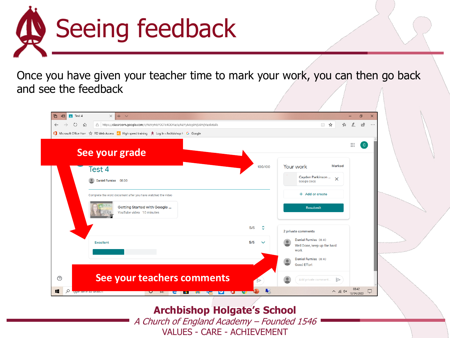

Once you have given your teacher time to mark your work, you can then go back and see the feedback



#### **Archbishop Holgate's School**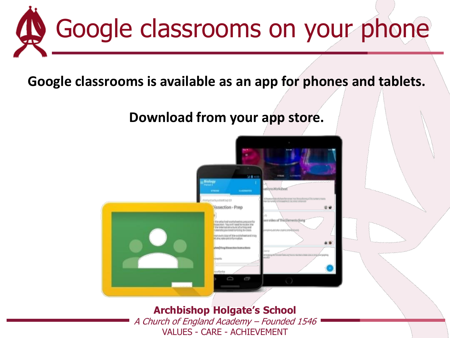

**Google classrooms is available as an app for phones and tablets.**

#### **Download from your app store.**



**Archbishop Holgate's School** A Church of England Academy – Founded 1546 VALUES - CARE - ACHIEVEMENT